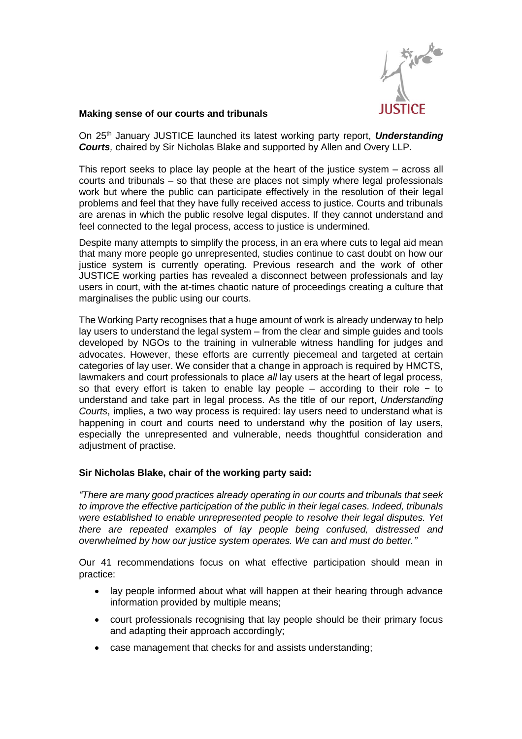

## **Making sense of our courts and tribunals**

On 25th January JUSTICE launched its latest working party report, *Understanding Courts,* chaired by Sir Nicholas Blake and supported by Allen and Overy LLP.

This report seeks to place lay people at the heart of the justice system – across all courts and tribunals – so that these are places not simply where legal professionals work but where the public can participate effectively in the resolution of their legal problems and feel that they have fully received access to justice. Courts and tribunals are arenas in which the public resolve legal disputes. If they cannot understand and feel connected to the legal process, access to justice is undermined.

Despite many attempts to simplify the process, in an era where cuts to legal aid mean that many more people go unrepresented, studies continue to cast doubt on how our justice system is currently operating. Previous research and the work of other JUSTICE working parties has revealed a disconnect between professionals and lay users in court, with the at-times chaotic nature of proceedings creating a culture that marginalises the public using our courts.

The Working Party recognises that a huge amount of work is already underway to help lay users to understand the legal system – from the clear and simple guides and tools developed by NGOs to the training in vulnerable witness handling for judges and advocates. However, these efforts are currently piecemeal and targeted at certain categories of lay user. We consider that a change in approach is required by HMCTS, lawmakers and court professionals to place *all* lay users at the heart of legal process, so that every effort is taken to enable lay people – according to their role − to understand and take part in legal process. As the title of our report, *Understanding Courts*, implies, a two way process is required: lay users need to understand what is happening in court and courts need to understand why the position of lay users, especially the unrepresented and vulnerable, needs thoughtful consideration and adjustment of practise.

## **Sir Nicholas Blake, chair of the working party said:**

*"There are many good practices already operating in our courts and tribunals that seek to improve the effective participation of the public in their legal cases. Indeed, tribunals were established to enable unrepresented people to resolve their legal disputes. Yet there are repeated examples of lay people being confused, distressed and overwhelmed by how our justice system operates. We can and must do better."*

Our 41 recommendations focus on what effective participation should mean in practice:

- lay people informed about what will happen at their hearing through advance information provided by multiple means;
- court professionals recognising that lay people should be their primary focus and adapting their approach accordingly;
- case management that checks for and assists understanding;